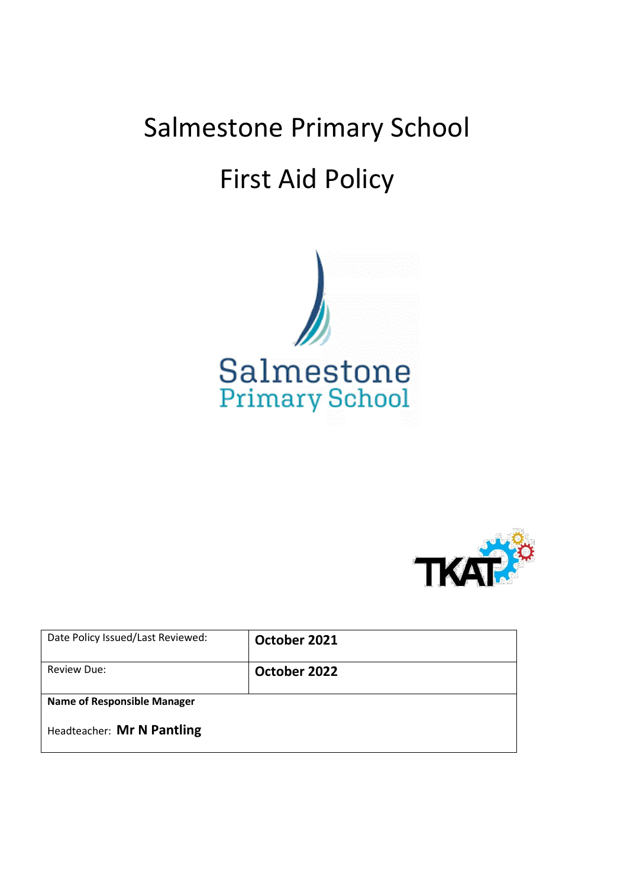# Salmestone Primary School First Aid Policy





| Date Policy Issued/Last Reviewed:  | October 2021 |
|------------------------------------|--------------|
| Review Due:                        | October 2022 |
| <b>Name of Responsible Manager</b> |              |
| Headteacher: Mr N Pantling         |              |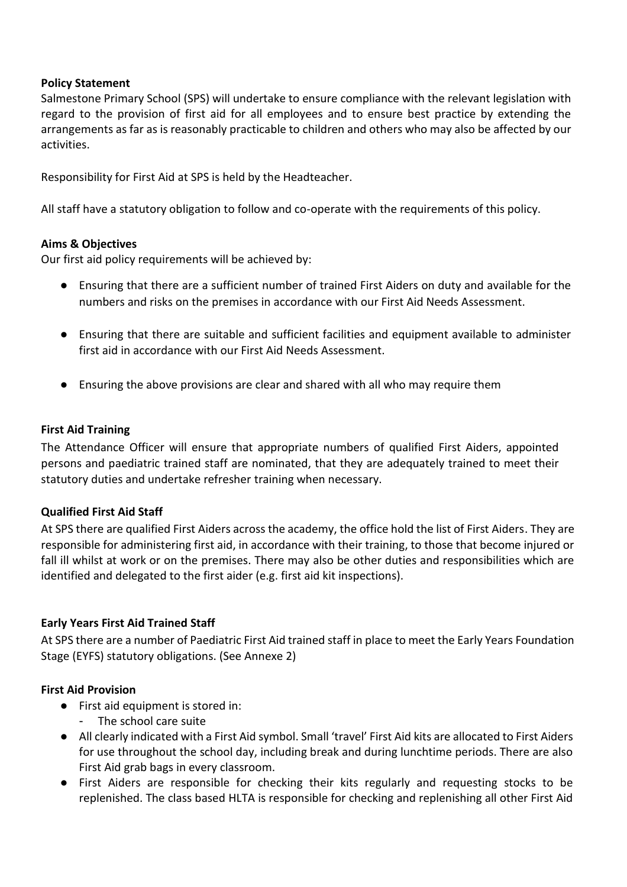## **Policy Statement**

Salmestone Primary School (SPS) will undertake to ensure compliance with the relevant legislation with regard to the provision of first aid for all employees and to ensure best practice by extending the arrangements as far as is reasonably practicable to children and others who may also be affected by our activities.

Responsibility for First Aid at SPS is held by the Headteacher.

All staff have a statutory obligation to follow and co-operate with the requirements of this policy.

## **Aims & Objectives**

Our first aid policy requirements will be achieved by:

- Ensuring that there are a sufficient number of trained First Aiders on duty and available for the numbers and risks on the premises in accordance with our First Aid Needs Assessment.
- Ensuring that there are suitable and sufficient facilities and equipment available to administer first aid in accordance with our First Aid Needs Assessment.
- Ensuring the above provisions are clear and shared with all who may require them

## **First Aid Training**

The Attendance Officer will ensure that appropriate numbers of qualified First Aiders, appointed persons and paediatric trained staff are nominated, that they are adequately trained to meet their statutory duties and undertake refresher training when necessary.

## **Qualified First Aid Staff**

At SPS there are qualified First Aiders across the academy, the office hold the list of First Aiders. They are responsible for administering first aid, in accordance with their training, to those that become injured or fall ill whilst at work or on the premises. There may also be other duties and responsibilities which are identified and delegated to the first aider (e.g. first aid kit inspections).

## **Early Years First Aid Trained Staff**

At SPS there are a number of Paediatric First Aid trained staff in place to meet the Early Years Foundation Stage (EYFS) statutory obligations. (See Annexe 2)

## **First Aid Provision**

- First aid equipment is stored in:
	- The school care suite
- All clearly indicated with a First Aid symbol. Small 'travel' First Aid kits are allocated to First Aiders for use throughout the school day, including break and during lunchtime periods. There are also First Aid grab bags in every classroom.
- First Aiders are responsible for checking their kits regularly and requesting stocks to be replenished. The class based HLTA is responsible for checking and replenishing all other First Aid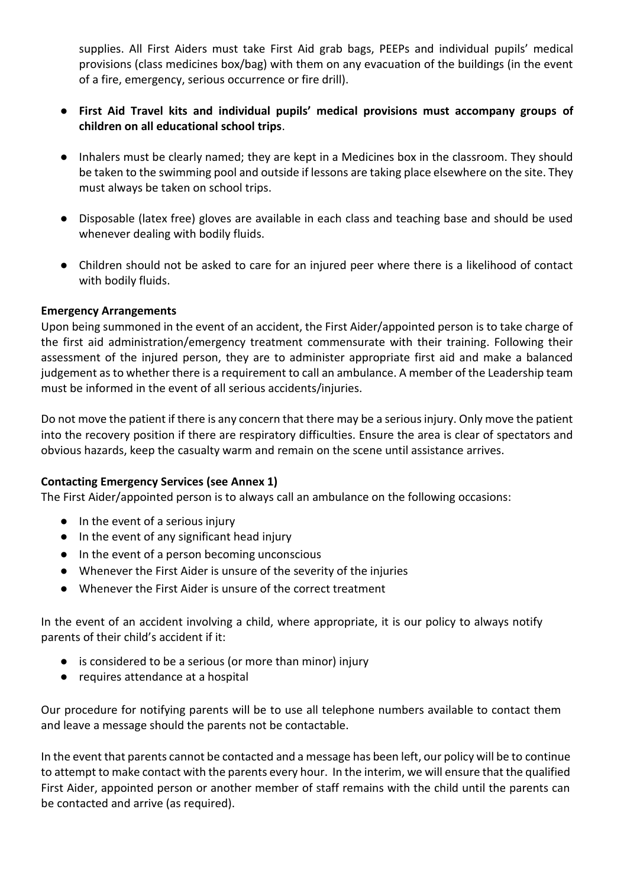supplies. All First Aiders must take First Aid grab bags, PEEPs and individual pupils' medical provisions (class medicines box/bag) with them on any evacuation of the buildings (in the event of a fire, emergency, serious occurrence or fire drill).

- **First Aid Travel kits and individual pupils' medical provisions must accompany groups of children on all educational school trips**.
- Inhalers must be clearly named; they are kept in a Medicines box in the classroom. They should be taken to the swimming pool and outside if lessons are taking place elsewhere on the site. They must always be taken on school trips.
- Disposable (latex free) gloves are available in each class and teaching base and should be used whenever dealing with bodily fluids.
- Children should not be asked to care for an injured peer where there is a likelihood of contact with bodily fluids.

## **Emergency Arrangements**

Upon being summoned in the event of an accident, the First Aider/appointed person is to take charge of the first aid administration/emergency treatment commensurate with their training. Following their assessment of the injured person, they are to administer appropriate first aid and make a balanced judgement as to whether there is a requirement to call an ambulance. A member of the Leadership team must be informed in the event of all serious accidents/injuries.

Do not move the patient if there is any concern that there may be a serious injury. Only move the patient into the recovery position if there are respiratory difficulties. Ensure the area is clear of spectators and obvious hazards, keep the casualty warm and remain on the scene until assistance arrives.

## **Contacting Emergency Services (see Annex 1)**

The First Aider/appointed person is to always call an ambulance on the following occasions:

- In the event of a serious injury
- In the event of any significant head injury
- In the event of a person becoming unconscious
- Whenever the First Aider is unsure of the severity of the injuries
- Whenever the First Aider is unsure of the correct treatment

In the event of an accident involving a child, where appropriate, it is our policy to always notify parents of their child's accident if it:

- is considered to be a serious (or more than minor) injury
- requires attendance at a hospital

Our procedure for notifying parents will be to use all telephone numbers available to contact them and leave a message should the parents not be contactable.

In the event that parents cannot be contacted and a message has been left, our policy will be to continue to attempt to make contact with the parents every hour. In the interim, we will ensure that the qualified First Aider, appointed person or another member of staff remains with the child until the parents can be contacted and arrive (as required).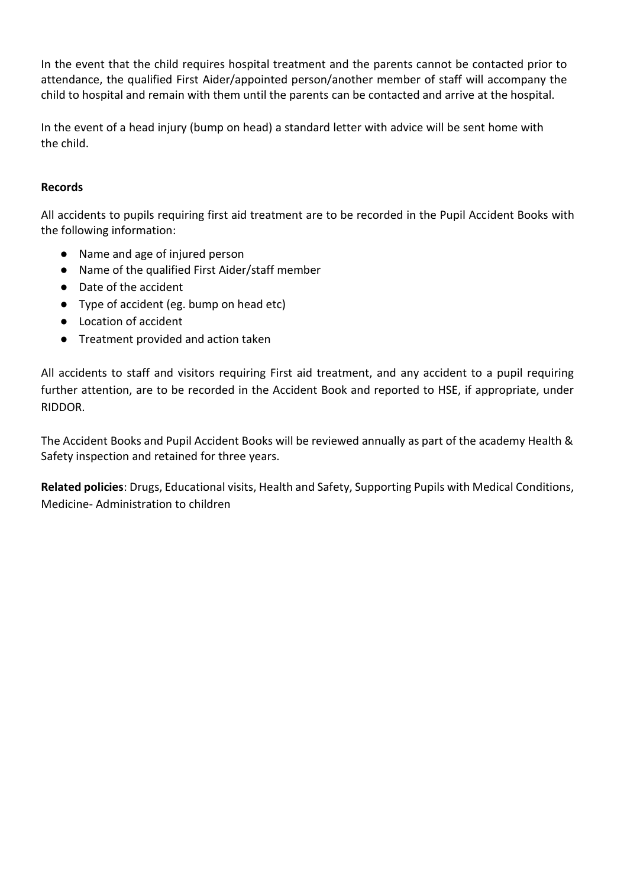In the event that the child requires hospital treatment and the parents cannot be contacted prior to attendance, the qualified First Aider/appointed person/another member of staff will accompany the child to hospital and remain with them until the parents can be contacted and arrive at the hospital.

In the event of a head injury (bump on head) a standard letter with advice will be sent home with the child.

# **Records**

All accidents to pupils requiring first aid treatment are to be recorded in the Pupil Accident Books with the following information:

- Name and age of injured person
- Name of the qualified First Aider/staff member
- Date of the accident
- Type of accident (eg. bump on head etc)
- Location of accident
- Treatment provided and action taken

All accidents to staff and visitors requiring First aid treatment, and any accident to a pupil requiring further attention, are to be recorded in the Accident Book and reported to HSE, if appropriate, under RIDDOR.

The Accident Books and Pupil Accident Books will be reviewed annually as part of the academy Health & Safety inspection and retained for three years.

**Related policies**: Drugs, Educational visits, Health and Safety, Supporting Pupils with Medical Conditions, Medicine- Administration to children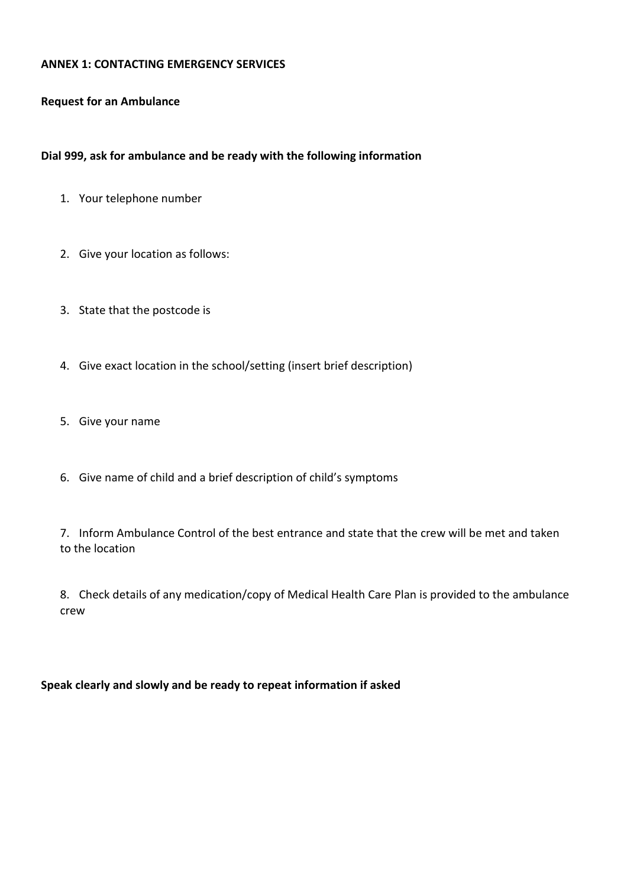## **ANNEX 1: CONTACTING EMERGENCY SERVICES**

#### **Request for an Ambulance**

## **Dial 999, ask for ambulance and be ready with the following information**

- 1. Your telephone number
- 2. Give your location as follows:
- 3. State that the postcode is
- 4. Give exact location in the school/setting (insert brief description)
- 5. Give your name
- 6. Give name of child and a brief description of child's symptoms

7. Inform Ambulance Control of the best entrance and state that the crew will be met and taken to the location

8. Check details of any medication/copy of Medical Health Care Plan is provided to the ambulance crew

## **Speak clearly and slowly and be ready to repeat information if asked**